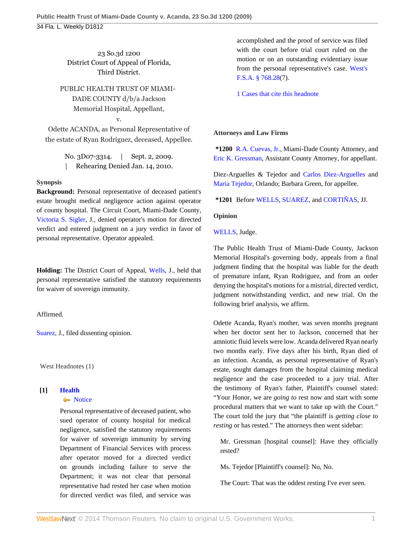23 So.3d 1200 District Court of Appeal of Florida, Third District.

PUBLIC HEALTH TRUST OF MIAMI-DADE COUNTY d/b/a Jackson Memorial Hospital, Appellant, v.

Odette ACANDA, as Personal Representative of the estate of Ryan Rodriguez, deceased, Appellee.

> No. 3D07-3314. | Sept. 2, 2009. | Rehearing Denied Jan. 14, 2010.

# **Synopsis**

**Background:** Personal representative of deceased patient's estate brought medical negligence action against operator of county hospital. The Circuit Court, Miami-Dade County, [Victoria S. Sigler,](http://www.westlaw.com/Link/Document/FullText?findType=h&pubNum=176284&cite=0175679501&originatingDoc=Iae2430e097d111de9988d233d23fe599&refType=RQ&originationContext=document&vr=3.0&rs=cblt1.0&transitionType=DocumentItem&contextData=(sc.Default)) J., denied operator's motion for directed verdict and entered judgment on a jury verdict in favor of personal representative. Operator appealed.

**Holding:** The District Court of Appeal, [Wells](http://www.westlaw.com/Link/Document/FullText?findType=h&pubNum=176284&cite=0280508001&originatingDoc=Iae2430e097d111de9988d233d23fe599&refType=RQ&originationContext=document&vr=3.0&rs=cblt1.0&transitionType=DocumentItem&contextData=(sc.Default)), J., held that personal representative satisfied the statutory requirements for waiver of sovereign immunity.

Affirmed.

[Suarez](http://www.westlaw.com/Link/Document/FullText?findType=h&pubNum=176284&cite=0127340801&originatingDoc=Iae2430e097d111de9988d233d23fe599&refType=RQ&originationContext=document&vr=3.0&rs=cblt1.0&transitionType=DocumentItem&contextData=(sc.Default)), J., filed dissenting opinion.

West Headnotes (1)

# **[1] [Health](http://www.westlaw.com/Browse/Home/KeyNumber/198H/View.html?docGuid=Iae2430e097d111de9988d233d23fe599&originationContext=document&vr=3.0&rs=cblt1.0&transitionType=DocumentItem&contextData=(sc.Default))**

### • [Notice](http://www.westlaw.com/Browse/Home/KeyNumber/198Hk807/View.html?docGuid=Iae2430e097d111de9988d233d23fe599&originationContext=document&vr=3.0&rs=cblt1.0&transitionType=DocumentItem&contextData=(sc.Default))

Personal representative of deceased patient, who sued operator of county hospital for medical negligence, satisfied the statutory requirements for waiver of sovereign immunity by serving Department of Financial Services with process after operator moved for a directed verdict on grounds including failure to serve the Department; it was not clear that personal representative had rested her case when motion for directed verdict was filed, and service was

accomplished and the proof of service was filed with the court before trial court ruled on the motion or on an outstanding evidentiary issue from the personal representative's case. [West's](http://www.westlaw.com/Link/Document/FullText?findType=L&pubNum=1000006&cite=FLSTS768.28&originatingDoc=Iae2430e097d111de9988d233d23fe599&refType=LQ&originationContext=document&vr=3.0&rs=cblt1.0&transitionType=DocumentItem&contextData=(sc.Default)) [F.S.A. § 768.28\(](http://www.westlaw.com/Link/Document/FullText?findType=L&pubNum=1000006&cite=FLSTS768.28&originatingDoc=Iae2430e097d111de9988d233d23fe599&refType=LQ&originationContext=document&vr=3.0&rs=cblt1.0&transitionType=DocumentItem&contextData=(sc.Default))7).

[1 Cases that cite this headnote](http://www.westlaw.com/Link/RelatedInformation/DocHeadnoteLink?docGuid=Iae2430e097d111de9988d233d23fe599&headnoteId=201973071000120100317013147&originationContext=document&vr=3.0&rs=cblt1.0&transitionType=CitingReferences&contextData=(sc.Default))

## **Attorneys and Law Firms**

**\*1200** [R.A. Cuevas, Jr.](http://www.westlaw.com/Link/Document/FullText?findType=h&pubNum=176284&cite=0222920401&originatingDoc=Iae2430e097d111de9988d233d23fe599&refType=RQ&originationContext=document&vr=3.0&rs=cblt1.0&transitionType=DocumentItem&contextData=(sc.Default)), Miami-Dade County Attorney, and [Eric K. Gressman](http://www.westlaw.com/Link/Document/FullText?findType=h&pubNum=176284&cite=0133568901&originatingDoc=Iae2430e097d111de9988d233d23fe599&refType=RQ&originationContext=document&vr=3.0&rs=cblt1.0&transitionType=DocumentItem&contextData=(sc.Default)), Assistant County Attorney, for appellant.

Diez-Arguelles & Tejedor and [Carlos Diez-Arguelles](http://www.westlaw.com/Link/Document/FullText?findType=h&pubNum=176284&cite=0236083201&originatingDoc=Iae2430e097d111de9988d233d23fe599&refType=RQ&originationContext=document&vr=3.0&rs=cblt1.0&transitionType=DocumentItem&contextData=(sc.Default)) and [Maria Tejedor](http://www.westlaw.com/Link/Document/FullText?findType=h&pubNum=176284&cite=0344130101&originatingDoc=Iae2430e097d111de9988d233d23fe599&refType=RQ&originationContext=document&vr=3.0&rs=cblt1.0&transitionType=DocumentItem&contextData=(sc.Default)), Orlando; Barbara Green, for appellee.

**\*1201** Before [WELLS,](http://www.westlaw.com/Link/Document/FullText?findType=h&pubNum=176284&cite=0280508001&originatingDoc=Iae2430e097d111de9988d233d23fe599&refType=RQ&originationContext=document&vr=3.0&rs=cblt1.0&transitionType=DocumentItem&contextData=(sc.Default)) [SUAREZ](http://www.westlaw.com/Link/Document/FullText?findType=h&pubNum=176284&cite=0127340801&originatingDoc=Iae2430e097d111de9988d233d23fe599&refType=RQ&originationContext=document&vr=3.0&rs=cblt1.0&transitionType=DocumentItem&contextData=(sc.Default)), and [CORTIÑAS](http://www.westlaw.com/Link/Document/FullText?findType=h&pubNum=176284&cite=0343975301&originatingDoc=Iae2430e097d111de9988d233d23fe599&refType=RQ&originationContext=document&vr=3.0&rs=cblt1.0&transitionType=DocumentItem&contextData=(sc.Default)), JJ.

## **Opinion**

[WELLS](http://www.westlaw.com/Link/Document/FullText?findType=h&pubNum=176284&cite=0280508001&originatingDoc=Iae2430e097d111de9988d233d23fe599&refType=RQ&originationContext=document&vr=3.0&rs=cblt1.0&transitionType=DocumentItem&contextData=(sc.Default)), Judge.

The Public Health Trust of Miami-Dade County, Jackson Memorial Hospital's governing body, appeals from a final judgment finding that the hospital was liable for the death of premature infant, Ryan Rodriguez, and from an order denying the hospital's motions for a mistrial, directed verdict, judgment notwithstanding verdict, and new trial. On the following brief analysis, we affirm.

Odette Acanda, Ryan's mother, was seven months pregnant when her doctor sent her to Jackson, concerned that her amniotic fluid levels were low. Acanda delivered Ryan nearly two months early. Five days after his birth, Ryan died of an infection. Acanda, as personal representative of Ryan's estate, sought damages from the hospital claiming medical negligence and the case proceeded to a jury trial. After the testimony of Ryan's father, Plaintiff's counsel stated: "Your Honor, we are *going to* rest now and start with some procedural matters that we want to take up with the Court." The court told the jury that "the plaintiff is *getting close to resting* or has rested." The attorneys then went sidebar:

Mr. Gressman [hospital counsel]: Have they officially rested?

Ms. Tejedor [Plaintiff's counsel]: No, No.

The Court: That was the oddest resting I've ever seen.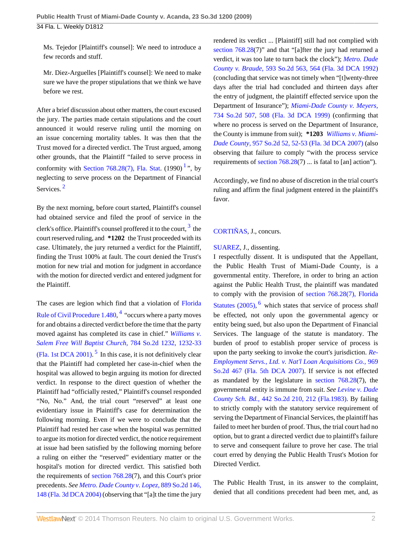Ms. Tejedor [Plaintiff's counsel]: We need to introduce a few records and stuff.

Mr. Diez-Arguelles [Plaintiff's counsel]: We need to make sure we have the proper stipulations that we think we have before we rest.

After a brief discussion about other matters, the court excused the jury. The parties made certain stipulations and the court announced it would reserve ruling until the morning on an issue concerning mortality tables. It was then that the Trust moved for a directed verdict. The Trust argued, among other grounds, that the Plaintiff "failed to serve process in conformity with [Section 768.28\(7\), Fla. Stat](http://www.westlaw.com/Link/Document/FullText?findType=L&pubNum=1000006&cite=FLSTS768.28&originatingDoc=Iae2430e097d111de9988d233d23fe599&refType=LQ&originationContext=document&vr=3.0&rs=cblt1.0&transitionType=DocumentItem&contextData=(sc.Default)).  $(1990)$  $(1990)$  $(1990)$ <sup>1</sup>, by neglecting to serve process on the Department of Financial Services.<sup>[2](#page-3-1)</sup>

<span id="page-1-1"></span>By the next morning, before court started, Plaintiff's counsel had obtained service and filed the proof of service in the clerk's office. Plaintiff's counsel proffered it to the court,  $^3$  $^3$  the court reserved ruling, and **\*1202** the Trust proceeded with its case. Ultimately, the jury returned a verdict for the Plaintiff, finding the Trust 100% at fault. The court denied the Trust's motion for new trial and motion for judgment in accordance with the motion for directed verdict and entered judgment for the Plaintiff.

<span id="page-1-4"></span><span id="page-1-3"></span>The cases are legion which find that a violation of [Florida](http://www.westlaw.com/Link/Document/FullText?findType=L&pubNum=1000006&cite=FLSTRCPR1.480&originatingDoc=Iae2430e097d111de9988d233d23fe599&refType=LQ&originationContext=document&vr=3.0&rs=cblt1.0&transitionType=DocumentItem&contextData=(sc.Default)) [Rule of Civil Procedure 1.480,](http://www.westlaw.com/Link/Document/FullText?findType=L&pubNum=1000006&cite=FLSTRCPR1.480&originatingDoc=Iae2430e097d111de9988d233d23fe599&refType=LQ&originationContext=document&vr=3.0&rs=cblt1.0&transitionType=DocumentItem&contextData=(sc.Default)) <sup>[4](#page-3-3)</sup> "occurs where a party moves for and obtains a directed verdict before the time that the party moved against has completed its case in chief." *[Williams v.](http://www.westlaw.com/Link/Document/FullText?findType=Y&serNum=2001340138&pubNum=735&fi=co_pp_sp_735_1232&originationContext=document&vr=3.0&rs=cblt1.0&transitionType=DocumentItem&contextData=(sc.Default)#co_pp_sp_735_1232) [Salem Free Will Baptist Church,](http://www.westlaw.com/Link/Document/FullText?findType=Y&serNum=2001340138&pubNum=735&fi=co_pp_sp_735_1232&originationContext=document&vr=3.0&rs=cblt1.0&transitionType=DocumentItem&contextData=(sc.Default)#co_pp_sp_735_1232)* 784 So.2d 1232, 1232-33 [\(Fla. 1st DCA 2001\).](http://www.westlaw.com/Link/Document/FullText?findType=Y&serNum=2001340138&pubNum=735&fi=co_pp_sp_735_1232&originationContext=document&vr=3.0&rs=cblt1.0&transitionType=DocumentItem&contextData=(sc.Default)#co_pp_sp_735_1232)<sup>[5](#page-4-0)</sup> In this case, it is not definitively clear that the Plaintiff had completed her case-in-chief when the hospital was allowed to begin arguing its motion for directed verdict. In response to the direct question of whether the Plaintiff had "officially rested," Plaintiff's counsel responded "No, No." And, the trial court "reserved" at least one evidentiary issue in Plaintiff's case for determination the following morning. Even if we were to conclude that the Plaintiff had rested her case when the hospital was permitted to argue its motion for directed verdict, the notice requirement at issue had been satisfied by the following morning before a ruling on either the "reserved" evidentiary matter or the hospital's motion for directed verdict. This satisfied both the requirements of [section 768.28](http://www.westlaw.com/Link/Document/FullText?findType=L&pubNum=1000006&cite=FLSTS768.28&originatingDoc=Iae2430e097d111de9988d233d23fe599&refType=LQ&originationContext=document&vr=3.0&rs=cblt1.0&transitionType=DocumentItem&contextData=(sc.Default))(7), and this Court's prior precedents. *See [Metro. Dade County v. Lopez,](http://www.westlaw.com/Link/Document/FullText?findType=Y&serNum=2005731940&pubNum=735&fi=co_pp_sp_735_148&originationContext=document&vr=3.0&rs=cblt1.0&transitionType=DocumentItem&contextData=(sc.Default)#co_pp_sp_735_148)* 889 So.2d 146, [148 \(Fla. 3d DCA 2004\)](http://www.westlaw.com/Link/Document/FullText?findType=Y&serNum=2005731940&pubNum=735&fi=co_pp_sp_735_148&originationContext=document&vr=3.0&rs=cblt1.0&transitionType=DocumentItem&contextData=(sc.Default)#co_pp_sp_735_148) (observing that "[a]t the time the jury

rendered its verdict ... [Plaintiff] still had not complied with [section 768.28](http://www.westlaw.com/Link/Document/FullText?findType=L&pubNum=1000006&cite=FLSTS768.28&originatingDoc=Iae2430e097d111de9988d233d23fe599&refType=LQ&originationContext=document&vr=3.0&rs=cblt1.0&transitionType=DocumentItem&contextData=(sc.Default))(7)" and that "[a]fter the jury had returned a verdict, it was too late to turn back the clock"); *[Metro. Dade](http://www.westlaw.com/Link/Document/FullText?findType=Y&serNum=1992032371&pubNum=735&fi=co_pp_sp_735_564&originationContext=document&vr=3.0&rs=cblt1.0&transitionType=DocumentItem&contextData=(sc.Default)#co_pp_sp_735_564) County v. Braude,* [593 So.2d 563, 564 \(Fla. 3d DCA 1992\)](http://www.westlaw.com/Link/Document/FullText?findType=Y&serNum=1992032371&pubNum=735&fi=co_pp_sp_735_564&originationContext=document&vr=3.0&rs=cblt1.0&transitionType=DocumentItem&contextData=(sc.Default)#co_pp_sp_735_564) (concluding that service was not timely when "[t]wenty-three days after the trial had concluded and thirteen days after the entry of judgment, the plaintiff effected service upon the Department of Insurance"); *[Miami-Dade County v. Meyers,](http://www.westlaw.com/Link/Document/FullText?findType=Y&serNum=1999124936&pubNum=735&fi=co_pp_sp_735_508&originationContext=document&vr=3.0&rs=cblt1.0&transitionType=DocumentItem&contextData=(sc.Default)#co_pp_sp_735_508)* [734 So.2d 507, 508 \(Fla. 3d DCA 1999\)](http://www.westlaw.com/Link/Document/FullText?findType=Y&serNum=1999124936&pubNum=735&fi=co_pp_sp_735_508&originationContext=document&vr=3.0&rs=cblt1.0&transitionType=DocumentItem&contextData=(sc.Default)#co_pp_sp_735_508) (confirming that where no process is served on the Department of Insurance, the County is immune from suit); **\*1203** *[Williams v. Miami-](http://www.westlaw.com/Link/Document/FullText?findType=Y&serNum=2012142173&pubNum=735&fi=co_pp_sp_735_52&originationContext=document&vr=3.0&rs=cblt1.0&transitionType=DocumentItem&contextData=(sc.Default)#co_pp_sp_735_52)Dade County,* [957 So.2d 52, 52-53 \(Fla. 3d DCA 2007\)](http://www.westlaw.com/Link/Document/FullText?findType=Y&serNum=2012142173&pubNum=735&fi=co_pp_sp_735_52&originationContext=document&vr=3.0&rs=cblt1.0&transitionType=DocumentItem&contextData=(sc.Default)#co_pp_sp_735_52) (also observing that failure to comply "with the process service requirements of [section 768.28\(](http://www.westlaw.com/Link/Document/FullText?findType=L&pubNum=1000006&cite=FLSTS768.28&originatingDoc=Iae2430e097d111de9988d233d23fe599&refType=LQ&originationContext=document&vr=3.0&rs=cblt1.0&transitionType=DocumentItem&contextData=(sc.Default))7) ... is fatal to [an] action").

<span id="page-1-0"></span>Accordingly, we find no abuse of discretion in the trial court's ruling and affirm the final judgment entered in the plaintiff's favor.

# <span id="page-1-2"></span>[CORTIÑAS](http://www.westlaw.com/Link/Document/FullText?findType=h&pubNum=176284&cite=0343975301&originatingDoc=Iae2430e097d111de9988d233d23fe599&refType=RQ&originationContext=document&vr=3.0&rs=cblt1.0&transitionType=DocumentItem&contextData=(sc.Default)), J., concurs.

## [SUAREZ,](http://www.westlaw.com/Link/Document/FullText?findType=h&pubNum=176284&cite=0127340801&originatingDoc=Iae2430e097d111de9988d233d23fe599&refType=RQ&originationContext=document&vr=3.0&rs=cblt1.0&transitionType=DocumentItem&contextData=(sc.Default)) J., dissenting.

<span id="page-1-5"></span>I respectfully dissent. It is undisputed that the Appellant, the Public Health Trust of Miami-Dade County, is a governmental entity. Therefore, in order to bring an action against the Public Health Trust, the plaintiff was mandated to comply with the provision of [section 768.28\(7\), Florida](http://www.westlaw.com/Link/Document/FullText?findType=L&pubNum=1000006&cite=FLSTS768.28&originatingDoc=Iae2430e097d111de9988d233d23fe599&refType=LQ&originationContext=document&vr=3.0&rs=cblt1.0&transitionType=DocumentItem&contextData=(sc.Default)) [Statutes \(2005\),](http://www.westlaw.com/Link/Document/FullText?findType=L&pubNum=1000006&cite=FLSTS768.28&originatingDoc=Iae2430e097d111de9988d233d23fe599&refType=LQ&originationContext=document&vr=3.0&rs=cblt1.0&transitionType=DocumentItem&contextData=(sc.Default)) <sup>[6](#page-4-1)</sup> which states that service of process *shall* be effected, not only upon the governmental agency or entity being sued, but also upon the Department of Financial Services. The language of the statute is mandatory. The burden of proof to establish proper service of process is upon the party seeking to invoke the court's jurisdiction. *[Re-](http://www.westlaw.com/Link/Document/FullText?findType=Y&serNum=2014113963&pubNum=735&originationContext=document&vr=3.0&rs=cblt1.0&transitionType=DocumentItem&contextData=(sc.Default))[Employment Servs., Ltd. v. Nat'l Loan Acquisitions Co.,](http://www.westlaw.com/Link/Document/FullText?findType=Y&serNum=2014113963&pubNum=735&originationContext=document&vr=3.0&rs=cblt1.0&transitionType=DocumentItem&contextData=(sc.Default))* 969 [So.2d 467 \(Fla. 5th DCA 2007\).](http://www.westlaw.com/Link/Document/FullText?findType=Y&serNum=2014113963&pubNum=735&originationContext=document&vr=3.0&rs=cblt1.0&transitionType=DocumentItem&contextData=(sc.Default)) If service is not effected as mandated by the legislature in [section 768.28](http://www.westlaw.com/Link/Document/FullText?findType=L&pubNum=1000006&cite=FLSTS768.28&originatingDoc=Iae2430e097d111de9988d233d23fe599&refType=LQ&originationContext=document&vr=3.0&rs=cblt1.0&transitionType=DocumentItem&contextData=(sc.Default))(7), the governmental entity is immune from suit. *See [Levine v. Dade](http://www.westlaw.com/Link/Document/FullText?findType=Y&serNum=1983156296&pubNum=735&fi=co_pp_sp_735_212&originationContext=document&vr=3.0&rs=cblt1.0&transitionType=DocumentItem&contextData=(sc.Default)#co_pp_sp_735_212) County Sch. Bd.,* [442 So.2d 210, 212 \(Fla.1983\)](http://www.westlaw.com/Link/Document/FullText?findType=Y&serNum=1983156296&pubNum=735&fi=co_pp_sp_735_212&originationContext=document&vr=3.0&rs=cblt1.0&transitionType=DocumentItem&contextData=(sc.Default)#co_pp_sp_735_212). By failing to strictly comply with the statutory service requirement of serving the Department of Financial Services, the plaintiff has failed to meet her burden of proof. Thus, the trial court had no option, but to grant a directed verdict due to plaintiff's failure to serve and consequent failure to prove her case. The trial court erred by denying the Public Health Trust's Motion for Directed Verdict.

The Public Health Trust, in its answer to the complaint, denied that all conditions precedent had been met, and, as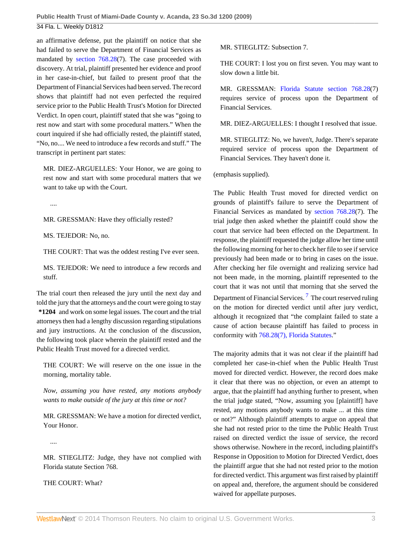an affirmative defense, put the plaintiff on notice that she had failed to serve the Department of Financial Services as mandated by [section 768.28\(](http://www.westlaw.com/Link/Document/FullText?findType=L&pubNum=1000006&cite=FLSTS768.28&originatingDoc=Iae2430e097d111de9988d233d23fe599&refType=LQ&originationContext=document&vr=3.0&rs=cblt1.0&transitionType=DocumentItem&contextData=(sc.Default))7). The case proceeded with discovery. At trial, plaintiff presented her evidence and proof in her case-in-chief, but failed to present proof that the Department of Financial Services had been served. The record shows that plaintiff had not even perfected the required service prior to the Public Health Trust's Motion for Directed Verdict. In open court, plaintiff stated that she was "going to rest now and start with some procedural matters." When the court inquired if she had officially rested, the plaintiff stated, "No, no.... We need to introduce a few records and stuff." The transcript in pertinent part states:

MR. DIEZ-ARGUELLES: Your Honor, we are going to rest now and start with some procedural matters that we want to take up with the Court.

....

MR. GRESSMAN: Have they officially rested?

MS. TEJEDOR: No, no.

THE COURT: That was the oddest resting I've ever seen.

MS. TEJEDOR: We need to introduce a few records and stuff.

The trial court then released the jury until the next day and told the jury that the attorneys and the court were going to stay **\*1204** and work on some legal issues. The court and the trial attorneys then had a lengthy discussion regarding stipulations and jury instructions. At the conclusion of the discussion, the following took place wherein the plaintiff rested and the Public Health Trust moved for a directed verdict.

THE COURT: We will reserve on the one issue in the morning, mortality table.

*Now, assuming you have rested, any motions anybody wants to make outside of the jury at this time or not?*

MR. GRESSMAN: We have a motion for directed verdict, Your Honor.

....

MR. STIEGLITZ: Judge, they have not complied with Florida statute Section 768.

THE COURT: What?

MR. STIEGLITZ: Subsection 7.

THE COURT: I lost you on first seven. You may want to slow down a little bit.

MR. GRESSMAN: [Florida Statute section 768.28](http://www.westlaw.com/Link/Document/FullText?findType=L&pubNum=1000006&cite=FLSTS768.28&originatingDoc=Iae2430e097d111de9988d233d23fe599&refType=LQ&originationContext=document&vr=3.0&rs=cblt1.0&transitionType=DocumentItem&contextData=(sc.Default))(7) requires service of process upon the Department of Financial Services.

MR. DIEZ-ARGUELLES: I thought I resolved that issue.

MR. STIEGLITZ: No, we haven't, Judge. There's separate required service of process upon the Department of Financial Services. They haven't done it.

(emphasis supplied).

The Public Health Trust moved for directed verdict on grounds of plaintiff's failure to serve the Department of Financial Services as mandated by [section 768.28](http://www.westlaw.com/Link/Document/FullText?findType=L&pubNum=1000006&cite=FLSTS768.28&originatingDoc=Iae2430e097d111de9988d233d23fe599&refType=LQ&originationContext=document&vr=3.0&rs=cblt1.0&transitionType=DocumentItem&contextData=(sc.Default))(7). The trial judge then asked whether the plaintiff could show the court that service had been effected on the Department. In response, the plaintiff requested the judge allow her time until the following morning for her to check her file to see if service previously had been made or to bring in cases on the issue. After checking her file overnight and realizing service had not been made, in the morning, plaintiff represented to the court that it was not until that morning that she served the Department of Financial Services.  $^7$  $^7$  The court reserved ruling on the motion for directed verdict until after jury verdict, although it recognized that "the complaint failed to state a cause of action because plaintiff has failed to process in conformity with [768.28\(7\), Florida Statutes](http://www.westlaw.com/Link/Document/FullText?findType=L&pubNum=1000006&cite=FLSTS768.28&originatingDoc=Iae2430e097d111de9988d233d23fe599&refType=LQ&originationContext=document&vr=3.0&rs=cblt1.0&transitionType=DocumentItem&contextData=(sc.Default))."

<span id="page-2-0"></span>The majority admits that it was not clear if the plaintiff had completed her case-in-chief when the Public Health Trust moved for directed verdict. However, the record does make it clear that there was no objection, or even an attempt to argue, that the plaintiff had anything further to present, when the trial judge stated, "Now, assuming you [plaintiff] have rested, any motions anybody wants to make ... at this time or not?" Although plaintiff attempts to argue on appeal that she had not rested prior to the time the Public Health Trust raised on directed verdict the issue of service, the record shows otherwise. Nowhere in the record, including plaintiff's Response in Opposition to Motion for Directed Verdict, does the plaintiff argue that she had not rested prior to the motion for directed verdict. This argument was first raised by plaintiff on appeal and, therefore, the argument should be considered waived for appellate purposes.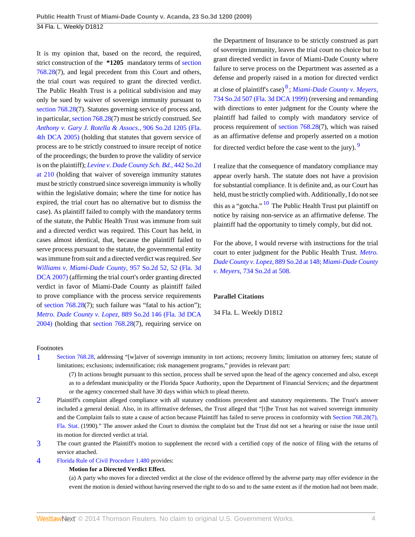It is my opinion that, based on the record, the required, strict construction of the **\*1205** mandatory terms of [section](http://www.westlaw.com/Link/Document/FullText?findType=L&pubNum=1000006&cite=FLSTS768.28&originatingDoc=Iae2430e097d111de9988d233d23fe599&refType=LQ&originationContext=document&vr=3.0&rs=cblt1.0&transitionType=DocumentItem&contextData=(sc.Default)) [768.28\(](http://www.westlaw.com/Link/Document/FullText?findType=L&pubNum=1000006&cite=FLSTS768.28&originatingDoc=Iae2430e097d111de9988d233d23fe599&refType=LQ&originationContext=document&vr=3.0&rs=cblt1.0&transitionType=DocumentItem&contextData=(sc.Default))7), and legal precedent from this Court and others, the trial court was required to grant the directed verdict. The Public Health Trust is a political subdivision and may only be sued by waiver of sovereign immunity pursuant to [section 768.28](http://www.westlaw.com/Link/Document/FullText?findType=L&pubNum=1000006&cite=FLSTS768.28&originatingDoc=Iae2430e097d111de9988d233d23fe599&refType=LQ&originationContext=document&vr=3.0&rs=cblt1.0&transitionType=DocumentItem&contextData=(sc.Default))(7). Statutes governing service of process and, in particular, [section 768.28](http://www.westlaw.com/Link/Document/FullText?findType=L&pubNum=1000006&cite=FLSTS768.28&originatingDoc=Iae2430e097d111de9988d233d23fe599&refType=LQ&originationContext=document&vr=3.0&rs=cblt1.0&transitionType=DocumentItem&contextData=(sc.Default))(7) must be strictly construed. *See [Anthony v. Gary J. Rotella & Assocs.,](http://www.westlaw.com/Link/Document/FullText?findType=Y&serNum=2006973761&pubNum=735&originationContext=document&vr=3.0&rs=cblt1.0&transitionType=DocumentItem&contextData=(sc.Default))* 906 So.2d 1205 (Fla. [4th DCA 2005\)](http://www.westlaw.com/Link/Document/FullText?findType=Y&serNum=2006973761&pubNum=735&originationContext=document&vr=3.0&rs=cblt1.0&transitionType=DocumentItem&contextData=(sc.Default)) (holding that statutes that govern service of process are to be strictly construed to insure receipt of notice of the proceedings; the burden to prove the validity of service is on the plaintiff); *[Levine v. Dade County Sch. Bd.,](http://www.westlaw.com/Link/Document/FullText?findType=Y&serNum=1983156296&pubNum=735&fi=co_pp_sp_735_210&originationContext=document&vr=3.0&rs=cblt1.0&transitionType=DocumentItem&contextData=(sc.Default)#co_pp_sp_735_210)* 442 So.2d [at 210](http://www.westlaw.com/Link/Document/FullText?findType=Y&serNum=1983156296&pubNum=735&fi=co_pp_sp_735_210&originationContext=document&vr=3.0&rs=cblt1.0&transitionType=DocumentItem&contextData=(sc.Default)#co_pp_sp_735_210) (holding that waiver of sovereign immunity statutes must be strictly construed since sovereign immunity is wholly within the legislative domain; where the time for notice has expired, the trial court has no alternative but to dismiss the case). As plaintiff failed to comply with the mandatory terms of the statute, the Public Health Trust was immune from suit and a directed verdict was required. This Court has held, in cases almost identical, that, because the plaintiff failed to serve process pursuant to the statute, the governmental entity was immune from suit and a directed verdict was required. *See [Williams v. Miami-Dade County,](http://www.westlaw.com/Link/Document/FullText?findType=Y&serNum=2012142173&pubNum=735&fi=co_pp_sp_735_52&originationContext=document&vr=3.0&rs=cblt1.0&transitionType=DocumentItem&contextData=(sc.Default)#co_pp_sp_735_52)* 957 So.2d 52, 52 (Fla. 3d [DCA 2007\)](http://www.westlaw.com/Link/Document/FullText?findType=Y&serNum=2012142173&pubNum=735&fi=co_pp_sp_735_52&originationContext=document&vr=3.0&rs=cblt1.0&transitionType=DocumentItem&contextData=(sc.Default)#co_pp_sp_735_52) (affirming the trial court's order granting directed verdict in favor of Miami-Dade County as plaintiff failed to prove compliance with the process service requirements of [section 768.28](http://www.westlaw.com/Link/Document/FullText?findType=L&pubNum=1000006&cite=FLSTS768.28&originatingDoc=Iae2430e097d111de9988d233d23fe599&refType=LQ&originationContext=document&vr=3.0&rs=cblt1.0&transitionType=DocumentItem&contextData=(sc.Default))(7); such failure was "fatal to his action"); *[Metro. Dade County v. Lopez,](http://www.westlaw.com/Link/Document/FullText?findType=Y&serNum=2005731940&pubNum=735&originationContext=document&vr=3.0&rs=cblt1.0&transitionType=DocumentItem&contextData=(sc.Default))* 889 So.2d 146 (Fla. 3d DCA [2004\)](http://www.westlaw.com/Link/Document/FullText?findType=Y&serNum=2005731940&pubNum=735&originationContext=document&vr=3.0&rs=cblt1.0&transitionType=DocumentItem&contextData=(sc.Default)) (holding that [section 768.28\(](http://www.westlaw.com/Link/Document/FullText?findType=L&pubNum=1000006&cite=FLSTS768.28&originatingDoc=Iae2430e097d111de9988d233d23fe599&refType=LQ&originationContext=document&vr=3.0&rs=cblt1.0&transitionType=DocumentItem&contextData=(sc.Default))7), requiring service on <span id="page-3-4"></span>the Department of Insurance to be strictly construed as part of sovereign immunity, leaves the trial court no choice but to grant directed verdict in favor of Miami-Dade County where failure to serve process on the Department was asserted as a defense and properly raised in a motion for directed verdict at close of plaintiff's case) [8](#page-4-3) ; *[Miami-Dade County v. Meyers,](http://www.westlaw.com/Link/Document/FullText?findType=Y&serNum=1999124936&pubNum=735&originationContext=document&vr=3.0&rs=cblt1.0&transitionType=DocumentItem&contextData=(sc.Default))* [734 So.2d 507 \(Fla. 3d DCA 1999\)](http://www.westlaw.com/Link/Document/FullText?findType=Y&serNum=1999124936&pubNum=735&originationContext=document&vr=3.0&rs=cblt1.0&transitionType=DocumentItem&contextData=(sc.Default)) (reversing and remanding with directions to enter judgment for the County where the plaintiff had failed to comply with mandatory service of process requirement of [section 768.28](http://www.westlaw.com/Link/Document/FullText?findType=L&pubNum=1000006&cite=FLSTS768.28&originatingDoc=Iae2430e097d111de9988d233d23fe599&refType=LQ&originationContext=document&vr=3.0&rs=cblt1.0&transitionType=DocumentItem&contextData=(sc.Default))(7), which was raised as an affirmative defense and properly asserted on a motion for directed verdict before the case went to the jury). [9](#page-4-4)

<span id="page-3-6"></span><span id="page-3-5"></span>I realize that the consequence of mandatory compliance may appear overly harsh. The statute does not have a provision for substantial compliance. It is definite and, as our Court has held, must be strictly complied with. Additionally, I do not see this as a "gotcha."  $\frac{10}{10}$  $\frac{10}{10}$  $\frac{10}{10}$  The Public Health Trust put plaintiff on notice by raising non-service as an affirmative defense. The plaintiff had the opportunity to timely comply, but did not.

For the above, I would reverse with instructions for the trial court to enter judgment for the Public Health Trust. *[Metro.](http://www.westlaw.com/Link/Document/FullText?findType=Y&serNum=2005731940&pubNum=735&fi=co_pp_sp_735_148&originationContext=document&vr=3.0&rs=cblt1.0&transitionType=DocumentItem&contextData=(sc.Default)#co_pp_sp_735_148) [Dade County v. Lopez,](http://www.westlaw.com/Link/Document/FullText?findType=Y&serNum=2005731940&pubNum=735&fi=co_pp_sp_735_148&originationContext=document&vr=3.0&rs=cblt1.0&transitionType=DocumentItem&contextData=(sc.Default)#co_pp_sp_735_148)* 889 So.2d at 148; *[Miami-Dade County](http://www.westlaw.com/Link/Document/FullText?findType=Y&serNum=1999124936&pubNum=735&fi=co_pp_sp_735_508&originationContext=document&vr=3.0&rs=cblt1.0&transitionType=DocumentItem&contextData=(sc.Default)#co_pp_sp_735_508) v. Meyers,* [734 So.2d at 508.](http://www.westlaw.com/Link/Document/FullText?findType=Y&serNum=1999124936&pubNum=735&fi=co_pp_sp_735_508&originationContext=document&vr=3.0&rs=cblt1.0&transitionType=DocumentItem&contextData=(sc.Default)#co_pp_sp_735_508)

#### **Parallel Citations**

34 Fla. L. Weekly D1812

#### Footnotes

- <span id="page-3-0"></span>[1](#page-1-0) [Section 768.28](http://www.westlaw.com/Link/Document/FullText?findType=L&pubNum=1000006&cite=FLSTS768.28&originatingDoc=Iae2430e097d111de9988d233d23fe599&refType=LQ&originationContext=document&vr=3.0&rs=cblt1.0&transitionType=DocumentItem&contextData=(sc.Default)), addressing "[w]aiver of sovereign immunity in tort actions; recovery limits; limitation on attorney fees; statute of limitations; exclusions; indemnification; risk management programs," provides in relevant part:
	- (7) In actions brought pursuant to this section, process shall be served upon the head of the agency concerned and also, except as to a defendant municipality or the Florida Space Authority, upon the Department of Financial Services; and the department or the agency concerned shall have 30 days within which to plead thereto.
- <span id="page-3-1"></span>[2](#page-1-1) Plaintiff's complaint alleged compliance with all statutory conditions precedent and statutory requirements. The Trust's answer included a general denial. Also, in its affirmative defenses, the Trust alleged that "[t]he Trust has not waived sovereign immunity and the Complaint fails to state a cause of action because Plaintiff has failed to serve process in conformity with [Section 768.28\(7\),](http://www.westlaw.com/Link/Document/FullText?findType=L&pubNum=1000006&cite=FLSTS768.28&originatingDoc=Iae2430e097d111de9988d233d23fe599&refType=LQ&originationContext=document&vr=3.0&rs=cblt1.0&transitionType=DocumentItem&contextData=(sc.Default)) [Fla. Stat](http://www.westlaw.com/Link/Document/FullText?findType=L&pubNum=1000006&cite=FLSTS768.28&originatingDoc=Iae2430e097d111de9988d233d23fe599&refType=LQ&originationContext=document&vr=3.0&rs=cblt1.0&transitionType=DocumentItem&contextData=(sc.Default)). (1990)." The answer asked the Court to dismiss the complaint but the Trust did not set a hearing or raise the issue until its motion for directed verdict at trial.
- <span id="page-3-2"></span>[3](#page-1-2) The court granted the Plaintiff's motion to supplement the record with a certified copy of the notice of filing with the returns of service attached.
- <span id="page-3-3"></span>[4](#page-1-3) [Florida Rule of Civil Procedure 1.480](http://www.westlaw.com/Link/Document/FullText?findType=L&pubNum=1000006&cite=FLSTRCPR1.480&originatingDoc=Iae2430e097d111de9988d233d23fe599&refType=LQ&originationContext=document&vr=3.0&rs=cblt1.0&transitionType=DocumentItem&contextData=(sc.Default)) provides:

#### **Motion for a Directed Verdict Effect.**

(a) A party who moves for a directed verdict at the close of the evidence offered by the adverse party may offer evidence in the event the motion is denied without having reserved the right to do so and to the same extent as if the motion had not been made.